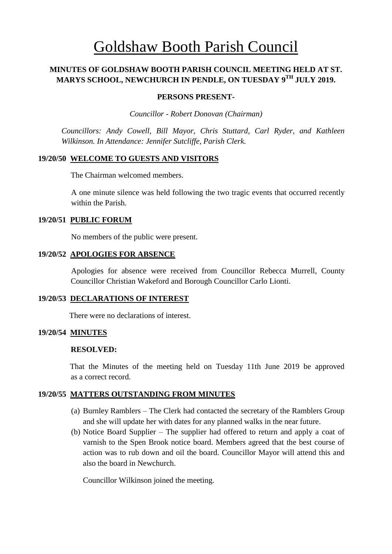# Goldshaw Booth Parish Council

## **MINUTES OF GOLDSHAW BOOTH PARISH COUNCIL MEETING HELD AT ST. MARYS SCHOOL, NEWCHURCH IN PENDLE, ON TUESDAY 9 TH JULY 2019.**

#### **PERSONS PRESENT-**

*Councillor* - *Robert Donovan (Chairman)*

*Councillors: Andy Cowell, Bill Mayor, Chris Stuttard, Carl Ryder, and Kathleen Wilkinson. In Attendance: Jennifer Sutcliffe, Parish Clerk.*

### **19/20/50 WELCOME TO GUESTS AND VISITORS**

The Chairman welcomed members.

A one minute silence was held following the two tragic events that occurred recently within the Parish.

#### **19/20/51 PUBLIC FORUM**

No members of the public were present.

### **19/20/52 APOLOGIES FOR ABSENCE**

Apologies for absence were received from Councillor Rebecca Murrell, County Councillor Christian Wakeford and Borough Councillor Carlo Lionti.

## **19/20/53 DECLARATIONS OF INTEREST**

There were no declarations of interest.

### **19/20/54 MINUTES**

#### **RESOLVED:**

 That the Minutes of the meeting held on Tuesday 11th June 2019 be approved as a correct record.

### **19/20/55 MATTERS OUTSTANDING FROM MINUTES**

- (a) Burnley Ramblers The Clerk had contacted the secretary of the Ramblers Group and she will update her with dates for any planned walks in the near future.
- (b) Notice Board Supplier The supplier had offered to return and apply a coat of varnish to the Spen Brook notice board. Members agreed that the best course of action was to rub down and oil the board. Councillor Mayor will attend this and also the board in Newchurch.

Councillor Wilkinson joined the meeting.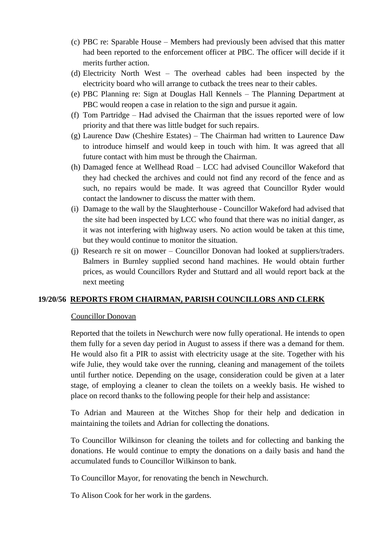- (c) PBC re: Sparable House Members had previously been advised that this matter had been reported to the enforcement officer at PBC. The officer will decide if it merits further action.
- (d) Electricity North West The overhead cables had been inspected by the electricity board who will arrange to cutback the trees near to their cables.
- (e) PBC Planning re: Sign at Douglas Hall Kennels The Planning Department at PBC would reopen a case in relation to the sign and pursue it again.
- (f) Tom Partridge Had advised the Chairman that the issues reported were of low priority and that there was little budget for such repairs.
- (g) Laurence Daw (Cheshire Estates) The Chairman had written to Laurence Daw to introduce himself and would keep in touch with him. It was agreed that all future contact with him must be through the Chairman.
- (h) Damaged fence at Wellhead Road LCC had advised Councillor Wakeford that they had checked the archives and could not find any record of the fence and as such, no repairs would be made. It was agreed that Councillor Ryder would contact the landowner to discuss the matter with them.
- (i) Damage to the wall by the Slaughterhouse Councillor Wakeford had advised that the site had been inspected by LCC who found that there was no initial danger, as it was not interfering with highway users. No action would be taken at this time, but they would continue to monitor the situation.
- (j) Research re sit on mower Councillor Donovan had looked at suppliers/traders. Balmers in Burnley supplied second hand machines. He would obtain further prices, as would Councillors Ryder and Stuttard and all would report back at the next meeting

### **19/20/56 REPORTS FROM CHAIRMAN, PARISH COUNCILLORS AND CLERK**

#### Councillor Donovan

Reported that the toilets in Newchurch were now fully operational. He intends to open them fully for a seven day period in August to assess if there was a demand for them. He would also fit a PIR to assist with electricity usage at the site. Together with his wife Julie, they would take over the running, cleaning and management of the toilets until further notice. Depending on the usage, consideration could be given at a later stage, of employing a cleaner to clean the toilets on a weekly basis. He wished to place on record thanks to the following people for their help and assistance:

To Adrian and Maureen at the Witches Shop for their help and dedication in maintaining the toilets and Adrian for collecting the donations.

To Councillor Wilkinson for cleaning the toilets and for collecting and banking the donations. He would continue to empty the donations on a daily basis and hand the accumulated funds to Councillor Wilkinson to bank.

To Councillor Mayor, for renovating the bench in Newchurch.

To Alison Cook for her work in the gardens.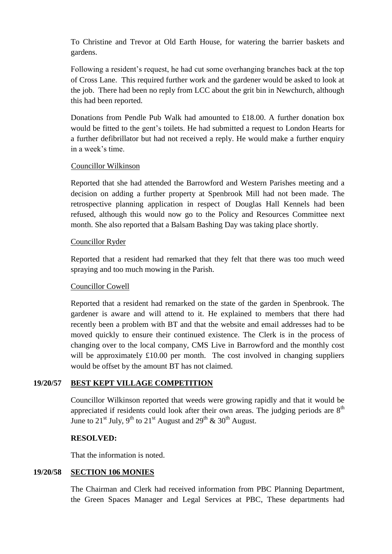To Christine and Trevor at Old Earth House, for watering the barrier baskets and gardens.

Following a resident's request, he had cut some overhanging branches back at the top of Cross Lane. This required further work and the gardener would be asked to look at the job. There had been no reply from LCC about the grit bin in Newchurch, although this had been reported.

Donations from Pendle Pub Walk had amounted to £18.00. A further donation box would be fitted to the gent's toilets. He had submitted a request to London Hearts for a further defibrillator but had not received a reply. He would make a further enquiry in a week's time.

## Councillor Wilkinson

Reported that she had attended the Barrowford and Western Parishes meeting and a decision on adding a further property at Spenbrook Mill had not been made. The retrospective planning application in respect of Douglas Hall Kennels had been refused, although this would now go to the Policy and Resources Committee next month. She also reported that a Balsam Bashing Day was taking place shortly.

## Councillor Ryder

Reported that a resident had remarked that they felt that there was too much weed spraying and too much mowing in the Parish.

## Councillor Cowell

Reported that a resident had remarked on the state of the garden in Spenbrook. The gardener is aware and will attend to it. He explained to members that there had recently been a problem with BT and that the website and email addresses had to be moved quickly to ensure their continued existence. The Clerk is in the process of changing over to the local company, CMS Live in Barrowford and the monthly cost will be approximately £10.00 per month. The cost involved in changing suppliers would be offset by the amount BT has not claimed.

## **19/20/57 BEST KEPT VILLAGE COMPETITION**

Councillor Wilkinson reported that weeds were growing rapidly and that it would be appreciated if residents could look after their own areas. The judging periods are  $8<sup>th</sup>$ June to  $21<sup>st</sup>$  July, 9<sup>th</sup> to  $21<sup>st</sup>$  August and  $29<sup>th</sup>$  &  $30<sup>th</sup>$  August.

## **RESOLVED:**

That the information is noted.

## **19/20/58 SECTION 106 MONIES**

The Chairman and Clerk had received information from PBC Planning Department, the Green Spaces Manager and Legal Services at PBC, These departments had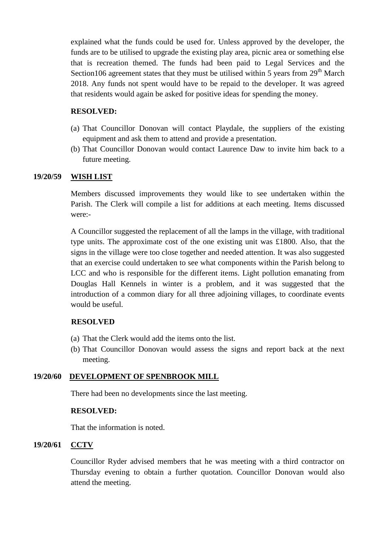explained what the funds could be used for. Unless approved by the developer, the funds are to be utilised to upgrade the existing play area, picnic area or something else that is recreation themed. The funds had been paid to Legal Services and the Section106 agreement states that they must be utilised within 5 years from  $29<sup>th</sup>$  March 2018. Any funds not spent would have to be repaid to the developer. It was agreed that residents would again be asked for positive ideas for spending the money.

## **RESOLVED:**

- (a) That Councillor Donovan will contact Playdale, the suppliers of the existing equipment and ask them to attend and provide a presentation.
- (b) That Councillor Donovan would contact Laurence Daw to invite him back to a future meeting.

## **19/20/59 WISH LIST**

Members discussed improvements they would like to see undertaken within the Parish. The Clerk will compile a list for additions at each meeting. Items discussed were:-

A Councillor suggested the replacement of all the lamps in the village, with traditional type units. The approximate cost of the one existing unit was £1800. Also, that the signs in the village were too close together and needed attention. It was also suggested that an exercise could undertaken to see what components within the Parish belong to LCC and who is responsible for the different items. Light pollution emanating from Douglas Hall Kennels in winter is a problem, and it was suggested that the introduction of a common diary for all three adjoining villages, to coordinate events would be useful.

## **RESOLVED**

- (a) That the Clerk would add the items onto the list.
- (b) That Councillor Donovan would assess the signs and report back at the next meeting.

## **19/20/60 DEVELOPMENT OF SPENBROOK MILL**

There had been no developments since the last meeting.

### **RESOLVED:**

That the information is noted.

## **19/20/61 CCTV**

Councillor Ryder advised members that he was meeting with a third contractor on Thursday evening to obtain a further quotation. Councillor Donovan would also attend the meeting.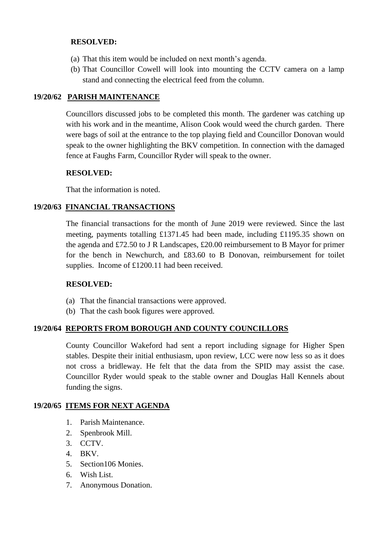## **RESOLVED:**

- (a) That this item would be included on next month's agenda.
- (b) That Councillor Cowell will look into mounting the CCTV camera on a lamp stand and connecting the electrical feed from the column.

## **19/20/62 PARISH MAINTENANCE**

Councillors discussed jobs to be completed this month. The gardener was catching up with his work and in the meantime, Alison Cook would weed the church garden. There were bags of soil at the entrance to the top playing field and Councillor Donovan would speak to the owner highlighting the BKV competition. In connection with the damaged fence at Faughs Farm, Councillor Ryder will speak to the owner.

## **RESOLVED:**

That the information is noted.

## **19/20/63 FINANCIAL TRANSACTIONS**

The financial transactions for the month of June 2019 were reviewed. Since the last meeting, payments totalling £1371.45 had been made, including £1195.35 shown on the agenda and £72.50 to J R Landscapes, £20.00 reimbursement to B Mayor for primer for the bench in Newchurch, and £83.60 to B Donovan, reimbursement for toilet supplies. Income of £1200.11 had been received.

### **RESOLVED:**

- (a) That the financial transactions were approved.
- (b) That the cash book figures were approved.

## **19/20/64 REPORTS FROM BOROUGH AND COUNTY COUNCILLORS**

 County Councillor Wakeford had sent a report including signage for Higher Spen stables. Despite their initial enthusiasm, upon review, LCC were now less so as it does not cross a bridleway. He felt that the data from the SPID may assist the case. Councillor Ryder would speak to the stable owner and Douglas Hall Kennels about funding the signs.

### **19/20/65 ITEMS FOR NEXT AGENDA**

- 1. Parish Maintenance.
- 2. Spenbrook Mill.
- 3. CCTV.
- 4. BKV.
- 5. Section106 Monies.
- 6. Wish List.
- 7. Anonymous Donation.